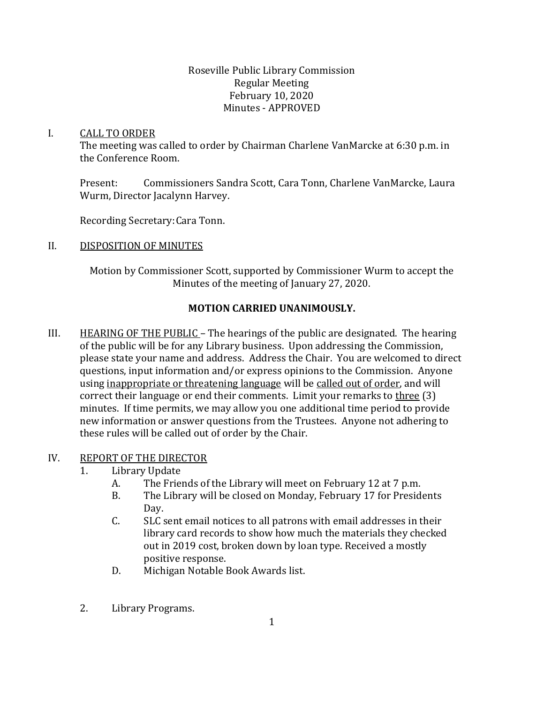Roseville Public Library Commission Regular Meeting February 10, 2020 Minutes - APPROVED

#### I. CALL TO ORDER

The meeting was called to order by Chairman Charlene VanMarcke at 6:30 p.m. in the Conference Room.

Present: Commissioners Sandra Scott, Cara Tonn, Charlene VanMarcke, Laura Wurm, Director Jacalynn Harvey.

Recording Secretary:Cara Tonn.

### II. DISPOSITION OF MINUTES

Motion by Commissioner Scott, supported by Commissioner Wurm to accept the Minutes of the meeting of January 27, 2020.

# **MOTION CARRIED UNANIMOUSLY.**

III. HEARING OF THE PUBLIC – The hearings of the public are designated. The hearing of the public will be for any Library business. Upon addressing the Commission, please state your name and address. Address the Chair. You are welcomed to direct questions, input information and/or express opinions to the Commission. Anyone using inappropriate or threatening language will be called out of order, and will correct their language or end their comments. Limit your remarks to three (3) minutes. If time permits, we may allow you one additional time period to provide new information or answer questions from the Trustees. Anyone not adhering to these rules will be called out of order by the Chair.

### IV. REPORT OF THE DIRECTOR

- 1. Library Update
	- A. The Friends of the Library will meet on February 12 at 7 p.m.
	- B. The Library will be closed on Monday, February 17 for Presidents Day.
	- C. SLC sent email notices to all patrons with email addresses in their library card records to show how much the materials they checked out in 2019 cost, broken down by loan type. Received a mostly positive response.
	- D. Michigan Notable Book Awards list.
- 2. Library Programs.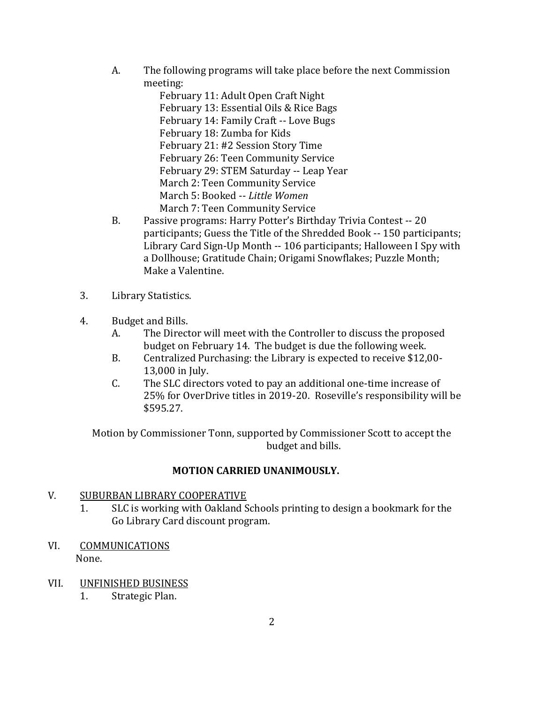A. The following programs will take place before the next Commission meeting:

February 11: Adult Open Craft Night February 13: Essential Oils & Rice Bags February 14: Family Craft -- Love Bugs February 18: Zumba for Kids February 21: #2 Session Story Time February 26: Teen Community Service February 29: STEM Saturday -- Leap Year March 2: Teen Community Service March 5: Booked -- *Little Women* March 7: Teen Community Service

- B. Passive programs: Harry Potter's Birthday Trivia Contest -- 20 participants; Guess the Title of the Shredded Book -- 150 participants; Library Card Sign-Up Month -- 106 participants; Halloween I Spy with a Dollhouse; Gratitude Chain; Origami Snowflakes; Puzzle Month; Make a Valentine.
- 3. Library Statistics.
- 4. Budget and Bills.
	- A. The Director will meet with the Controller to discuss the proposed budget on February 14. The budget is due the following week.
	- B. Centralized Purchasing: the Library is expected to receive \$12,00- 13,000 in July.
	- C. The SLC directors voted to pay an additional one-time increase of 25% for OverDrive titles in 2019-20. Roseville's responsibility will be \$595.27.

Motion by Commissioner Tonn, supported by Commissioner Scott to accept the budget and bills.

### **MOTION CARRIED UNANIMOUSLY.**

### V. SUBURBAN LIBRARY COOPERATIVE

- 1. SLC is working with Oakland Schools printing to design a bookmark for the Go Library Card discount program.
- VI. COMMUNICATIONS None.
- VII. UNFINISHED BUSINESS
	- 1. Strategic Plan.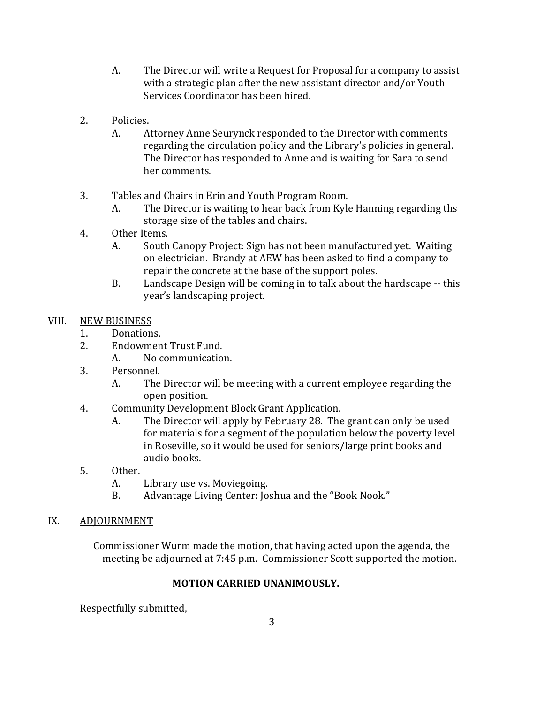- A. The Director will write a Request for Proposal for a company to assist with a strategic plan after the new assistant director and/or Youth Services Coordinator has been hired.
- 2. Policies.
	- A. Attorney Anne Seurynck responded to the Director with comments regarding the circulation policy and the Library's policies in general. The Director has responded to Anne and is waiting for Sara to send her comments.
- 3. Tables and Chairs in Erin and Youth Program Room.
	- A. The Director is waiting to hear back from Kyle Hanning regarding ths storage size of the tables and chairs.
- 4. Other Items.
	- A. South Canopy Project: Sign has not been manufactured yet. Waiting on electrician. Brandy at AEW has been asked to find a company to repair the concrete at the base of the support poles.
	- B. Landscape Design will be coming in to talk about the hardscape -- this year's landscaping project.

### VIII. NEW BUSINESS

- 1. Donations.
- 2. Endowment Trust Fund.
	- A. No communication.
- 3. Personnel.
	- A. The Director will be meeting with a current employee regarding the open position.
- 4. Community Development Block Grant Application.
	- A. The Director will apply by February 28. The grant can only be used for materials for a segment of the population below the poverty level in Roseville, so it would be used for seniors/large print books and audio books.
- 5. Other.
	- A. Library use vs. Moviegoing.
	- B. Advantage Living Center: Joshua and the "Book Nook."
- IX. ADJOURNMENT

Commissioner Wurm made the motion, that having acted upon the agenda, the meeting be adjourned at 7:45 p.m. Commissioner Scott supported the motion.

# **MOTION CARRIED UNANIMOUSLY.**

Respectfully submitted,